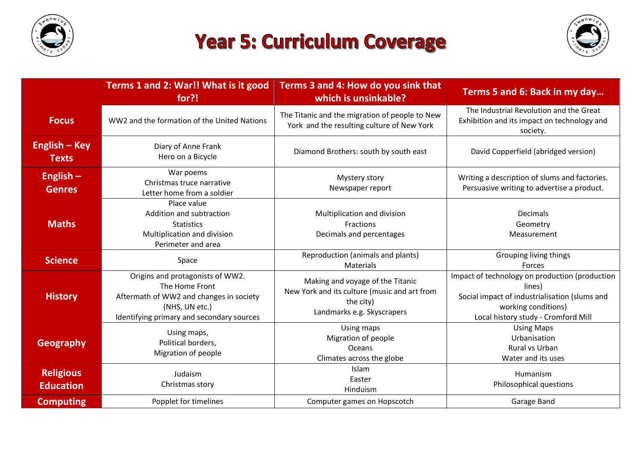

## **Year 5: Curriculum Coverage**



|                                      | Terms 1 and 2: War!! What is it good<br>for?!                                                                                                                | Terms 3 and 4: How do you sink that<br>which is unsinkable?                                                                 | Terms 5 and 6: Back in my day                                                                                                                                           |
|--------------------------------------|--------------------------------------------------------------------------------------------------------------------------------------------------------------|-----------------------------------------------------------------------------------------------------------------------------|-------------------------------------------------------------------------------------------------------------------------------------------------------------------------|
| <b>Focus</b>                         | WW2 and the formation of the United Nations                                                                                                                  | The Titanic and the migration of people to New<br>York and the resulting culture of New York                                | The Industrial Revolution and the Great<br>Exhibition and its impact on technology and<br>society.                                                                      |
| <b>English – Key</b><br><b>Texts</b> | Diary of Anne Frank<br>Hero on a Bicycle                                                                                                                     | Diamond Brothers: south by south east                                                                                       | David Copperfield (abridged version)                                                                                                                                    |
| English $-$<br><b>Genres</b>         | War poems<br>Christmas truce narrative<br>Letter home from a soldier                                                                                         | Mystery story<br>Newspaper report                                                                                           | Writing a description of slums and factories.<br>Persuasive writing to advertise a product.                                                                             |
| <b>Maths</b>                         | Place value<br>Addition and subtraction<br><b>Statistics</b><br>Multiplication and division<br>Perimeter and area                                            | Multiplication and division<br>Fractions<br>Decimals and percentages                                                        | <b>Decimals</b><br>Geometry<br>Measurement                                                                                                                              |
| <b>Science</b>                       | Space                                                                                                                                                        | Reproduction (animals and plants)<br>Materials                                                                              | Grouping living things<br>Forces                                                                                                                                        |
| <b>History</b>                       | Origins and protagonists of WW2.<br>The Home Front<br>Aftermath of WW2 and changes in society<br>(NHS, UN etc.)<br>Identifying primary and secondary sources | Making and voyage of the Titanic<br>New York and its culture (music and art from<br>the city)<br>Landmarks e.g. Skyscrapers | Impact of technology on production (production<br>lines)<br>Social impact of industrialisation (slums and<br>working conditions)<br>Local history study - Cromford Mill |
| <b>Geography</b>                     | Using maps,<br>Political borders,<br>Migration of people                                                                                                     | Using maps<br>Migration of people<br><b>Oceans</b><br>Climates across the globe                                             | <b>Using Maps</b><br>Urbanisation<br>Rural vs Urban<br>Water and its uses                                                                                               |
| <b>Religious</b><br><b>Education</b> | Judaism<br>Christmas story                                                                                                                                   | <b>Islam</b><br>Easter<br>Hinduism                                                                                          | Humanism<br>Philosophical questions                                                                                                                                     |
| <b>Computing</b>                     | Popplet for timelines                                                                                                                                        | Computer games on Hopscotch                                                                                                 | Garage Band                                                                                                                                                             |